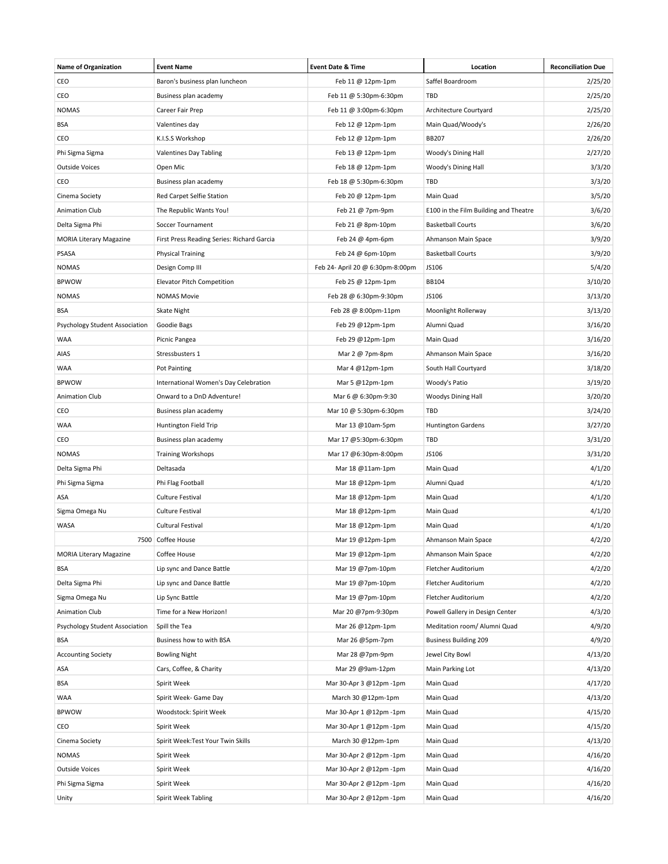| <b>Name of Organization</b>    | <b>Event Name</b>                          | <b>Event Date &amp; Time</b>     | Location                              | <b>Reconciliation Due</b> |
|--------------------------------|--------------------------------------------|----------------------------------|---------------------------------------|---------------------------|
| CEO                            | Baron's business plan luncheon             | Feb 11 @ 12pm-1pm                | Saffel Boardroom                      | 2/25/20                   |
| CEO                            | Business plan academy                      | Feb 11 @ 5:30pm-6:30pm           | TBD                                   | 2/25/20                   |
| <b>NOMAS</b>                   | Career Fair Prep                           | Feb 11 @ 3:00pm-6:30pm           | Architecture Courtyard                | 2/25/20                   |
| BSA                            | Valentines day                             | Feb 12 @ 12pm-1pm                | Main Quad/Woody's                     | 2/26/20                   |
| CEO                            | K.I.S.S Workshop                           | Feb 12 @ 12pm-1pm                | <b>BB207</b>                          | 2/26/20                   |
| Phi Sigma Sigma                | Valentines Day Tabling                     | Feb 13 @ 12pm-1pm                | Woody's Dining Hall                   | 2/27/20                   |
| <b>Outside Voices</b>          | Open Mic                                   | Feb 18 @ 12pm-1pm                | Woody's Dining Hall                   | 3/3/20                    |
| CEO                            | Business plan academy                      | Feb 18 @ 5:30pm-6:30pm           | TBD                                   | 3/3/20                    |
| Cinema Society                 | Red Carpet Selfie Station                  | Feb 20 @ 12pm-1pm                | Main Quad                             | 3/5/20                    |
| <b>Animation Club</b>          | The Republic Wants You!                    | Feb 21 @ 7pm-9pm                 | E100 in the Film Building and Theatre | 3/6/20                    |
| Delta Sigma Phi                | Soccer Tournament                          | Feb 21 @ 8pm-10pm                | <b>Basketball Courts</b>              | 3/6/20                    |
| <b>MORIA Literary Magazine</b> | First Press Reading Series: Richard Garcia | Feb 24 @ 4pm-6pm                 | Ahmanson Main Space                   | 3/9/20                    |
| PSASA                          | <b>Physical Training</b>                   | Feb 24 @ 6pm-10pm                | <b>Basketball Courts</b>              | 3/9/20                    |
| <b>NOMAS</b>                   | Design Comp III                            | Feb 24- April 20 @ 6:30pm-8:00pm | JS106                                 | 5/4/20                    |
| <b>BPWOW</b>                   | Elevator Pitch Competition                 | Feb 25 @ 12pm-1pm                | BB104                                 | 3/10/20                   |
| <b>NOMAS</b>                   | <b>NOMAS Movie</b>                         | Feb 28 @ 6:30pm-9:30pm           | JS106                                 | 3/13/20                   |
| BSA                            | <b>Skate Night</b>                         | Feb 28 @ 8:00pm-11pm             | Moonlight Rollerway                   | 3/13/20                   |
| Psychology Student Association | Goodie Bags                                | Feb 29 @12pm-1pm                 | Alumni Quad                           | 3/16/20                   |
| <b>WAA</b>                     | Picnic Pangea                              | Feb 29 @12pm-1pm                 | Main Quad                             | 3/16/20                   |
| AIAS                           | Stressbusters 1                            | Mar 2 @ 7pm-8pm                  | Ahmanson Main Space                   | 3/16/20                   |
| <b>WAA</b>                     | Pot Painting                               | Mar 4 @12pm-1pm                  | South Hall Courtyard                  | 3/18/20                   |
| <b>BPWOW</b>                   | International Women's Day Celebration      | Mar 5 @12pm-1pm                  | Woody's Patio                         | 3/19/20                   |
| Animation Club                 | Onward to a DnD Adventure!                 | Mar 6 @ 6:30pm-9:30              | <b>Woodys Dining Hall</b>             | 3/20/20                   |
| CEO                            | Business plan academy                      | Mar 10 @ 5:30pm-6:30pm           | TBD                                   | 3/24/20                   |
| <b>WAA</b>                     | Huntington Field Trip                      | Mar 13 @10am-5pm                 | <b>Huntington Gardens</b>             | 3/27/20                   |
| CEO                            | Business plan academy                      | Mar 17 @5:30pm-6:30pm            | TBD                                   | 3/31/20                   |
| <b>NOMAS</b>                   | <b>Training Workshops</b>                  | Mar 17 @6:30pm-8:00pm            | JS106                                 | 3/31/20                   |
| Delta Sigma Phi                | Deltasada                                  | Mar 18 @11am-1pm                 | Main Quad                             | 4/1/20                    |
| Phi Sigma Sigma                | Phi Flag Football                          | Mar 18 @12pm-1pm                 | Alumni Quad                           | 4/1/20                    |
| ASA                            | Culture Festival                           | Mar 18 @12pm-1pm                 | Main Quad                             | 4/1/20                    |
| Sigma Omega Nu                 | Culture Festival                           | Mar 18 @12pm-1pm                 | Main Quad                             | 4/1/20                    |
| WASA                           | <b>Cultural Festival</b>                   | Mar 18 @12pm-1pm                 | Main Quad                             | 4/1/20                    |
|                                | 7500 Coffee House                          | Mar 19 @12pm-1pm                 | Ahmanson Main Space                   | 4/2/20                    |
| <b>MORIA Literary Magazine</b> | Coffee House                               | Mar 19 @12pm-1pm                 | Ahmanson Main Space                   | 4/2/20                    |
| BSA                            | Lip sync and Dance Battle                  | Mar 19 @7pm-10pm                 | Fletcher Auditorium                   | 4/2/20                    |
| Delta Sigma Phi                | Lip sync and Dance Battle                  | Mar 19 @7pm-10pm                 | Fletcher Auditorium                   | 4/2/20                    |
| Sigma Omega Nu                 | Lip Sync Battle                            | Mar 19 @7pm-10pm                 | Fletcher Auditorium                   | 4/2/20                    |
| Animation Club                 | Time for a New Horizon!                    | Mar 20 @7pm-9:30pm               | Powell Gallery in Design Center       | 4/3/20                    |
| Psychology Student Association | Spill the Tea                              | Mar 26 @12pm-1pm                 | Meditation room/ Alumni Quad          | 4/9/20                    |
| BSA                            | Business how to with BSA                   | Mar 26 @5pm-7pm                  | <b>Business Building 209</b>          | 4/9/20                    |
| <b>Accounting Society</b>      | Bowling Night                              | Mar 28 @7pm-9pm                  | Jewel City Bowl                       | 4/13/20                   |
| ASA                            | Cars, Coffee, & Charity                    | Mar 29 @9am-12pm                 | Main Parking Lot                      | 4/13/20                   |
| BSA                            | Spirit Week                                | Mar 30-Apr 3 @12pm -1pm          | Main Quad                             | 4/17/20                   |
| WAA                            | Spirit Week- Game Day                      | March 30 @12pm-1pm               | Main Quad                             | 4/13/20                   |
| <b>BPWOW</b>                   | Woodstock: Spirit Week                     | Mar 30-Apr 1 @12pm -1pm          | Main Quad                             | 4/15/20                   |
| CEO                            | Spirit Week                                | Mar 30-Apr 1 @12pm -1pm          | Main Quad                             | 4/15/20                   |
| Cinema Society                 | Spirit Week:Test Your Twin Skills          | March 30 @12pm-1pm               | Main Quad                             | 4/13/20                   |
| <b>NOMAS</b>                   | Spirit Week                                | Mar 30-Apr 2 @12pm -1pm          | Main Quad                             | 4/16/20                   |
| <b>Outside Voices</b>          | Spirit Week                                | Mar 30-Apr 2 @12pm -1pm          | Main Quad                             | 4/16/20                   |
| Phi Sigma Sigma                | Spirit Week                                | Mar 30-Apr 2 @12pm -1pm          | Main Quad                             | 4/16/20                   |
| Unity                          | Spirit Week Tabling                        | Mar 30-Apr 2 @12pm -1pm          | Main Quad                             | 4/16/20                   |